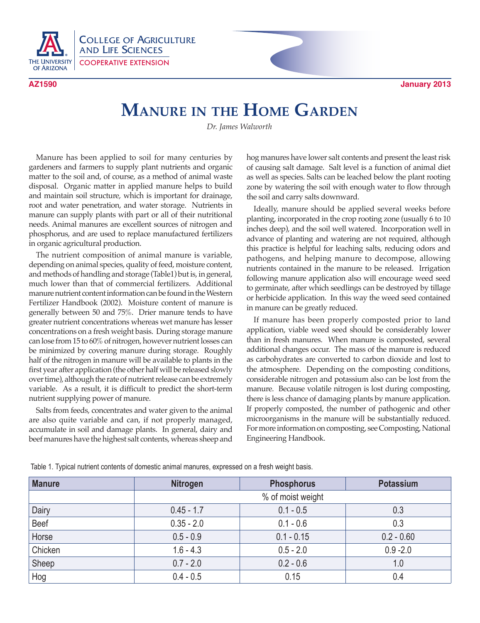

COLLEGE OF AGRICULTURE AND LIFE SCIENCES COOPERATIVE EXTENSION

**AZ1590 January 2013**

## **Manure in the Home Garden**

*Dr. James Walworth*

Manure has been applied to soil for many centuries by gardeners and farmers to supply plant nutrients and organic matter to the soil and, of course, as a method of animal waste disposal. Organic matter in applied manure helps to build and maintain soil structure, which is important for drainage, root and water penetration, and water storage. Nutrients in manure can supply plants with part or all of their nutritional needs. Animal manures are excellent sources of nitrogen and phosphorus, and are used to replace manufactured fertilizers in organic agricultural production.

The nutrient composition of animal manure is variable, depending on animal species, quality of feed, moisture content, and methods of handling and storage (Table1) but is, in general, much lower than that of commercial fertilizers. Additional manure nutrient content information can be found in the Western Fertilizer Handbook (2002). Moisture content of manure is generally between 50 and 75%. Drier manure tends to have greater nutrient concentrations whereas wet manure has lesser concentrations on a fresh weight basis. During storage manure can lose from 15 to 60% of nitrogen, however nutrient losses can be minimized by covering manure during storage. Roughly half of the nitrogen in manure will be available to plants in the first year after application (the other half will be released slowly over time), although the rate of nutrient release can be extremely variable. As a result, it is difficult to predict the short-term nutrient supplying power of manure.

Salts from feeds, concentrates and water given to the animal are also quite variable and can, if not properly managed, accumulate in soil and damage plants. In general, dairy and beef manures have the highest salt contents, whereas sheep and hog manures have lower salt contents and present the least risk of causing salt damage. Salt level is a function of animal diet as well as species. Salts can be leached below the plant rooting zone by watering the soil with enough water to flow through the soil and carry salts downward.

Ideally, manure should be applied several weeks before planting, incorporated in the crop rooting zone (usually 6 to 10 inches deep), and the soil well watered. Incorporation well in advance of planting and watering are not required, although this practice is helpful for leaching salts, reducing odors and pathogens, and helping manure to decompose, allowing nutrients contained in the manure to be released. Irrigation following manure application also will encourage weed seed to germinate, after which seedlings can be destroyed by tillage or herbicide application. In this way the weed seed contained in manure can be greatly reduced.

If manure has been properly composted prior to land application, viable weed seed should be considerably lower than in fresh manures. When manure is composted, several additional changes occur. The mass of the manure is reduced as carbohydrates are converted to carbon dioxide and lost to the atmosphere. Depending on the composting conditions, considerable nitrogen and potassium also can be lost from the manure. Because volatile nitrogen is lost during composting, there is less chance of damaging plants by manure application. If properly composted, the number of pathogenic and other microorganisms in the manure will be substantially reduced. For more information on composting, see Composting, National Engineering Handbook.

| <b>Manure</b> | <b>Nitrogen</b>   | <b>Phosphorus</b> | Potassium    |
|---------------|-------------------|-------------------|--------------|
|               | % of moist weight |                   |              |
| Dairy         | $0.45 - 1.7$      | $0.1 - 0.5$       | 0.3          |
| Beef          | $0.35 - 2.0$      | $0.1 - 0.6$       | 0.3          |
| Horse         | $0.5 - 0.9$       | $0.1 - 0.15$      | $0.2 - 0.60$ |
| Chicken       | $1.6 - 4.3$       | $0.5 - 2.0$       | $0.9 - 2.0$  |
| Sheep         | $0.7 - 2.0$       | $0.2 - 0.6$       | 1.0          |
| Hog           | $0.4 - 0.5$       | 0.15              | 0.4          |

Table 1. Typical nutrient contents of domestic animal manures, expressed on a fresh weight basis.